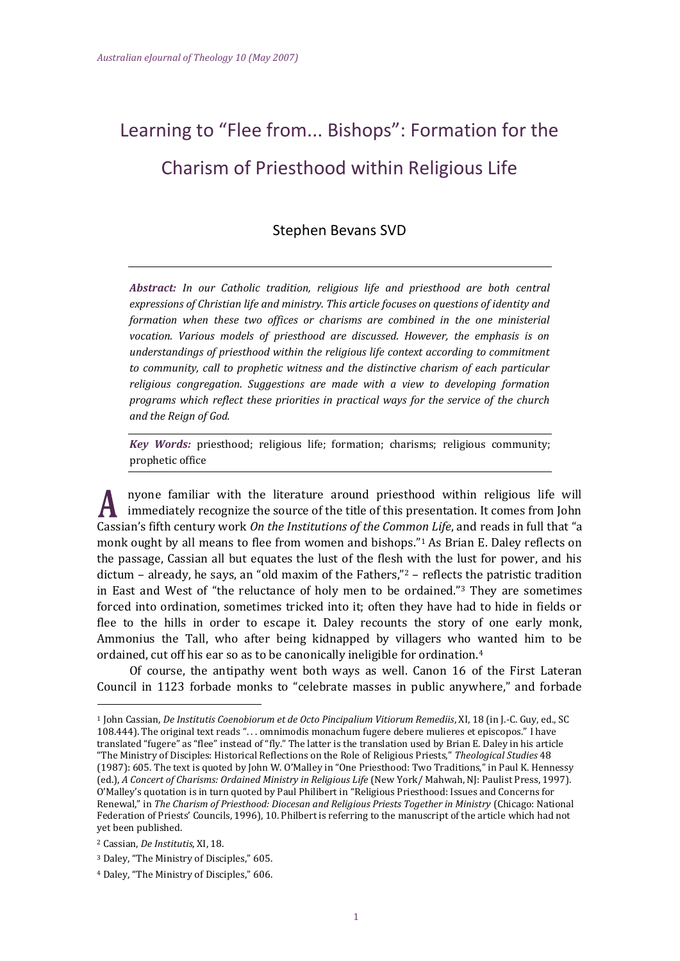# Learning to "Flee from... Bishops": Formation for the Charism of Priesthood within Religious Life

# Stephen Bevans SVD

*Abstract: In our Catholic tradition, religious life and priesthood are both central expressions of Christian life and ministry. This article focuses on questions of identity and formation when these two offices or charisms are combined in the one ministerial vocation. Various models of priesthood are discussed. However, the emphasis is on understandings of priesthood within the religious life context according to commitment to community, call to prophetic witness and the distinctive charism of each particular religious congregation. Suggestions are made with a view to developing formation programs which reflect these priorities in practical ways for the service of the church and the Reign of God.*

*Key Words:* priesthood; religious life; formation; charisms; religious community; prophetic office

nyone familiar with the literature around priesthood within religious life will immediately recognize the source of the title of this presentation. It comes from John Cassian's fifth century work *On the Institutions of the Common Life*, and reads in full that "a monk ought by all means to flee from women and bishops."<sup>1</sup> As Brian E. Daley reflects on the passage, Cassian all but equates the lust of the flesh with the lust for power, and his dictum – already, he says, an "old maxim of the Fathers, $\frac{n}{2}$  – reflects the patristic tradition in East and West of "the reluctance of holy men to be ordained."<sup>3</sup> They are sometimes forced into ordination, sometimes tricked into it; often they have had to hide in fields or flee to the hills in order to escape it. Daley recounts the story of one early monk, Ammonius the Tall, who after being kidnapped by villagers who wanted him to be ordained, cut off his ear so as to be canonically ineligible for ordination.<sup>4</sup>

Of course, the antipathy went both ways as well. Canon 16 of the First Lateran Council in 1123 forbade monks to "celebrate masses in public anywhere," and forbade

<sup>1</sup> John Cassian, *De Institutis Coenobiorum et de Octo Pincipalium Vitiorum Remediis*, XI, 18 (in J.-C. Guy, ed., SC 108.444). The original text reads ". . . omnimodis monachum fugere debere mulieres et episcopos." I have translated "fugere" as "flee" instead of "fly." The latter is the translation used by Brian E. Daley in his article "The Ministry of Disciples: Historical Reflections on the Role of Religious Priests," *Theological Studies* 48 (1987): 605. The text is quoted by John W. O'Malley in "One Priesthood: Two Traditions," in Paul K. Hennessy (ed.), *A Concert of Charisms: Ordained Ministry in Religious Life* (New York/ Mahwah, NJ: Paulist Press, 1997). O'Malley's quotation is in turn quoted by Paul Philibert in "Religious Priesthood: Issues and Concerns for Renewal," in *The Charism of Priesthood: Diocesan and Religious Priests Together in Ministry* (Chicago: National Federation of Priests' Councils, 1996), 10. Philbert is referring to the manuscript of the article which had not yet been published.

<sup>2</sup> Cassian, *De Institutis*, XI, 18.

<sup>3</sup> Daley, "The Ministry of Disciples," 605.

<sup>4</sup> Daley, "The Ministry of Disciples," 606.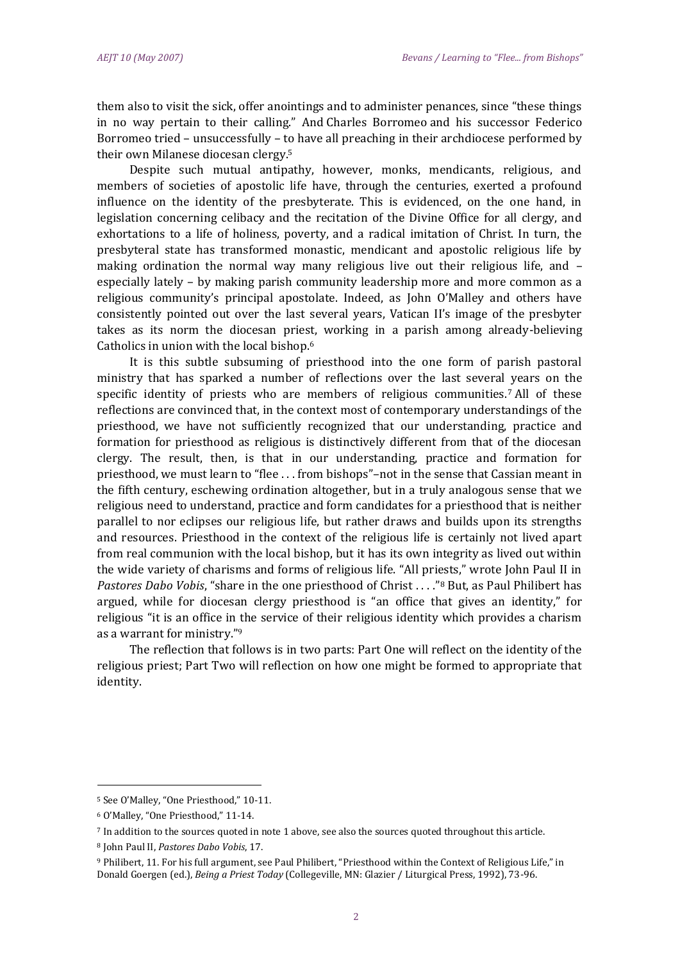them also to visit the sick, offer anointings and to administer penances, since "these things in no way pertain to their calling." And Charles Borromeo and his successor Federico Borromeo tried – unsuccessfully – to have all preaching in their archdiocese performed by their own Milanese diocesan clergy.<sup>5</sup>

Despite such mutual antipathy, however, monks, mendicants, religious, and members of societies of apostolic life have, through the centuries, exerted a profound influence on the identity of the presbyterate. This is evidenced, on the one hand, in legislation concerning celibacy and the recitation of the Divine Office for all clergy, and exhortations to a life of holiness, poverty, and a radical imitation of Christ. In turn, the presbyteral state has transformed monastic, mendicant and apostolic religious life by making ordination the normal way many religious live out their religious life, and – especially lately – by making parish community leadership more and more common as a religious community's principal apostolate. Indeed, as John O'Malley and others have consistently pointed out over the last several years, Vatican II's image of the presbyter takes as its norm the diocesan priest, working in a parish among already-believing Catholics in union with the local bishop.<sup>6</sup>

It is this subtle subsuming of priesthood into the one form of parish pastoral ministry that has sparked a number of reflections over the last several years on the specific identity of priests who are members of religious communities.<sup>7</sup> All of these reflections are convinced that, in the context most of contemporary understandings of the priesthood, we have not sufficiently recognized that our understanding, practice and formation for priesthood as religious is distinctively different from that of the diocesan clergy. The result, then, is that in our understanding, practice and formation for priesthood, we must learn to "flee . . . from bishops"–not in the sense that Cassian meant in the fifth century, eschewing ordination altogether, but in a truly analogous sense that we religious need to understand, practice and form candidates for a priesthood that is neither parallel to nor eclipses our religious life, but rather draws and builds upon its strengths and resources. Priesthood in the context of the religious life is certainly not lived apart from real communion with the local bishop, but it has its own integrity as lived out within the wide variety of charisms and forms of religious life. "All priests," wrote John Paul II in *Pastores Dabo Vobis*, "share in the one priesthood of Christ . . . ."<sup>8</sup> But, as Paul Philibert has argued, while for diocesan clergy priesthood is "an office that gives an identity," for religious "it is an office in the service of their religious identity which provides a charism as a warrant for ministry."<sup>9</sup>

The reflection that follows is in two parts: Part One will reflect on the identity of the religious priest; Part Two will reflection on how one might be formed to appropriate that identity.

<sup>5</sup> See O'Malley, "One Priesthood," 10-11.

<sup>6</sup> O'Malley, "One Priesthood," 11-14.

<sup>7</sup> In addition to the sources quoted in note 1 above, see also the sources quoted throughout this article.

<sup>8</sup> John Paul II, *Pastores Dabo Vobis*, 17.

<sup>9</sup> Philibert, 11. For his full argument, see Paul Philibert, "Priesthood within the Context of Religious Life," in Donald Goergen (ed.), *Being a Priest Today* (Collegeville, MN: Glazier / Liturgical Press, 1992), 73-96.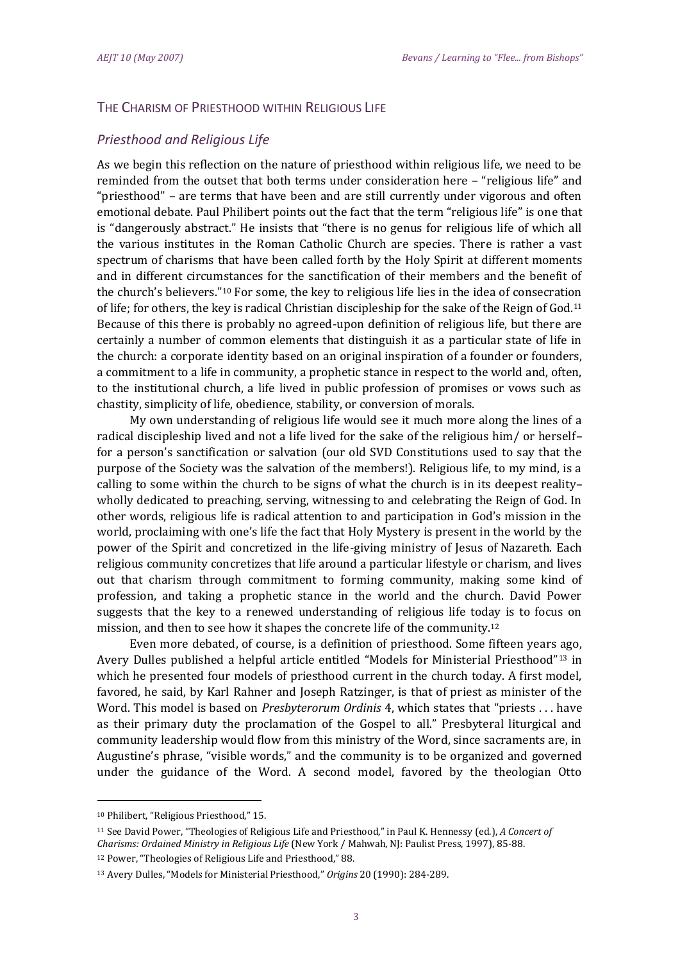# THE CHARISM OF PRIESTHOOD WITHIN RELIGIOUS LIFE

## *Priesthood and Religious Life*

As we begin this reflection on the nature of priesthood within religious life, we need to be reminded from the outset that both terms under consideration here – "religious life" and "priesthood" – are terms that have been and are still currently under vigorous and often emotional debate. Paul Philibert points out the fact that the term "religious life" is one that is "dangerously abstract." He insists that "there is no genus for religious life of which all the various institutes in the Roman Catholic Church are species. There is rather a vast spectrum of charisms that have been called forth by the Holy Spirit at different moments and in different circumstances for the sanctification of their members and the benefit of the church's believers."<sup>10</sup> For some, the key to religious life lies in the idea of consecration of life; for others, the key is radical Christian discipleship for the sake of the Reign of God.<sup>11</sup> Because of this there is probably no agreed-upon definition of religious life, but there are certainly a number of common elements that distinguish it as a particular state of life in the church: a corporate identity based on an original inspiration of a founder or founders, a commitment to a life in community, a prophetic stance in respect to the world and, often, to the institutional church, a life lived in public profession of promises or vows such as chastity, simplicity of life, obedience, stability, or conversion of morals.

My own understanding of religious life would see it much more along the lines of a radical discipleship lived and not a life lived for the sake of the religious him/ or herself– for a person's sanctification or salvation (our old SVD Constitutions used to say that the purpose of the Society was the salvation of the members!). Religious life, to my mind, is a calling to some within the church to be signs of what the church is in its deepest reality– wholly dedicated to preaching, serving, witnessing to and celebrating the Reign of God. In other words, religious life is radical attention to and participation in God's mission in the world, proclaiming with one's life the fact that Holy Mystery is present in the world by the power of the Spirit and concretized in the life-giving ministry of Jesus of Nazareth. Each religious community concretizes that life around a particular lifestyle or charism, and lives out that charism through commitment to forming community, making some kind of profession, and taking a prophetic stance in the world and the church. David Power suggests that the key to a renewed understanding of religious life today is to focus on mission, and then to see how it shapes the concrete life of the community.<sup>12</sup>

Even more debated, of course, is a definition of priesthood. Some fifteen years ago, Avery Dulles published a helpful article entitled "Models for Ministerial Priesthood"<sup>13</sup> in which he presented four models of priesthood current in the church today. A first model, favored, he said, by Karl Rahner and Joseph Ratzinger, is that of priest as minister of the Word. This model is based on *Presbyterorum Ordinis* 4, which states that "priests . . . have as their primary duty the proclamation of the Gospel to all." Presbyteral liturgical and community leadership would flow from this ministry of the Word, since sacraments are, in Augustine's phrase, "visible words," and the community is to be organized and governed under the guidance of the Word. A second model, favored by the theologian Otto

 $\overline{\phantom{a}}$ 

<sup>10</sup> Philibert, "Religious Priesthood," 15.

<sup>11</sup> See David Power, "Theologies of Religious Life and Priesthood," in Paul K. Hennessy (ed.), *A Concert of Charisms: Ordained Ministry in Religious Life* (New York / Mahwah, NJ: Paulist Press, 1997), 85-88.

<sup>12</sup> Power, "Theologies of Religious Life and Priesthood," 88.

<sup>13</sup> Avery Dulles, "Models for Ministerial Priesthood," *Origins* 20 (1990): 284-289.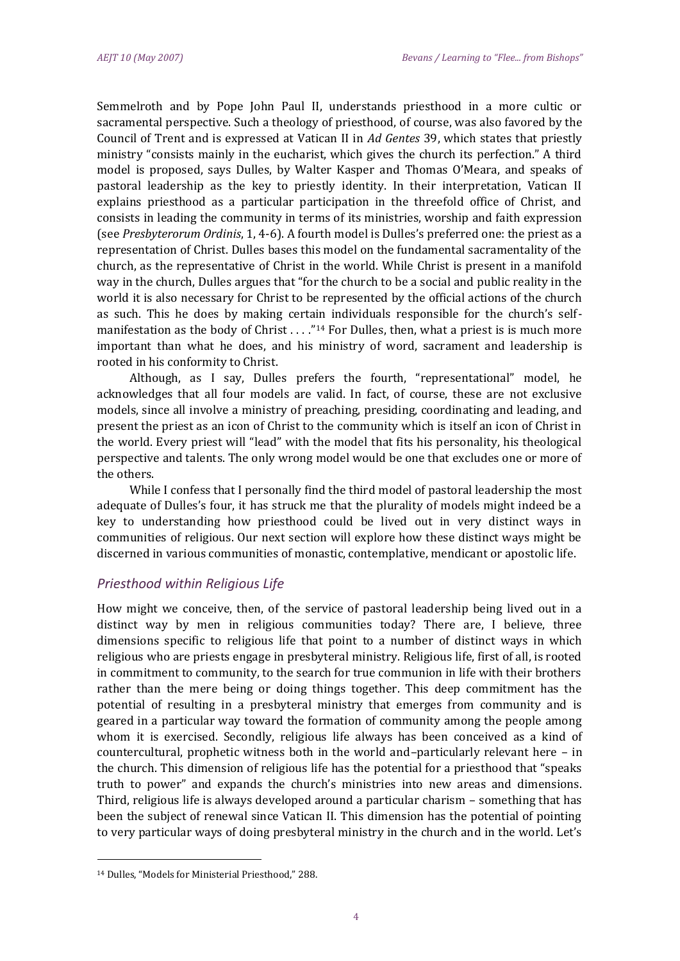Semmelroth and by Pope John Paul II, understands priesthood in a more cultic or sacramental perspective. Such a theology of priesthood, of course, was also favored by the Council of Trent and is expressed at Vatican II in *Ad Gentes* 39, which states that priestly ministry "consists mainly in the eucharist, which gives the church its perfection." A third model is proposed, says Dulles, by Walter Kasper and Thomas O'Meara, and speaks of pastoral leadership as the key to priestly identity. In their interpretation, Vatican II explains priesthood as a particular participation in the threefold office of Christ, and consists in leading the community in terms of its ministries, worship and faith expression (see *Presbyterorum Ordinis*, 1, 4-6). A fourth model is Dulles's preferred one: the priest as a representation of Christ. Dulles bases this model on the fundamental sacramentality of the church, as the representative of Christ in the world. While Christ is present in a manifold way in the church, Dulles argues that "for the church to be a social and public reality in the world it is also necessary for Christ to be represented by the official actions of the church as such. This he does by making certain individuals responsible for the church's selfmanifestation as the body of Christ  $\dots$ ."<sup>14</sup> For Dulles, then, what a priest is is much more important than what he does, and his ministry of word, sacrament and leadership is rooted in his conformity to Christ.

Although, as I say, Dulles prefers the fourth, "representational" model, he acknowledges that all four models are valid. In fact, of course, these are not exclusive models, since all involve a ministry of preaching, presiding, coordinating and leading, and present the priest as an icon of Christ to the community which is itself an icon of Christ in the world. Every priest will "lead" with the model that fits his personality, his theological perspective and talents. The only wrong model would be one that excludes one or more of the others.

While I confess that I personally find the third model of pastoral leadership the most adequate of Dulles's four, it has struck me that the plurality of models might indeed be a key to understanding how priesthood could be lived out in very distinct ways in communities of religious. Our next section will explore how these distinct ways might be discerned in various communities of monastic, contemplative, mendicant or apostolic life.

## *Priesthood within Religious Life*

How might we conceive, then, of the service of pastoral leadership being lived out in a distinct way by men in religious communities today? There are, I believe, three dimensions specific to religious life that point to a number of distinct ways in which religious who are priests engage in presbyteral ministry. Religious life, first of all, is rooted in commitment to community, to the search for true communion in life with their brothers rather than the mere being or doing things together. This deep commitment has the potential of resulting in a presbyteral ministry that emerges from community and is geared in a particular way toward the formation of community among the people among whom it is exercised. Secondly, religious life always has been conceived as a kind of countercultural, prophetic witness both in the world and–particularly relevant here – in the church. This dimension of religious life has the potential for a priesthood that "speaks truth to power" and expands the church's ministries into new areas and dimensions. Third, religious life is always developed around a particular charism – something that has been the subject of renewal since Vatican II. This dimension has the potential of pointing to very particular ways of doing presbyteral ministry in the church and in the world. Let's

<sup>14</sup> Dulles, "Models for Ministerial Priesthood," 288.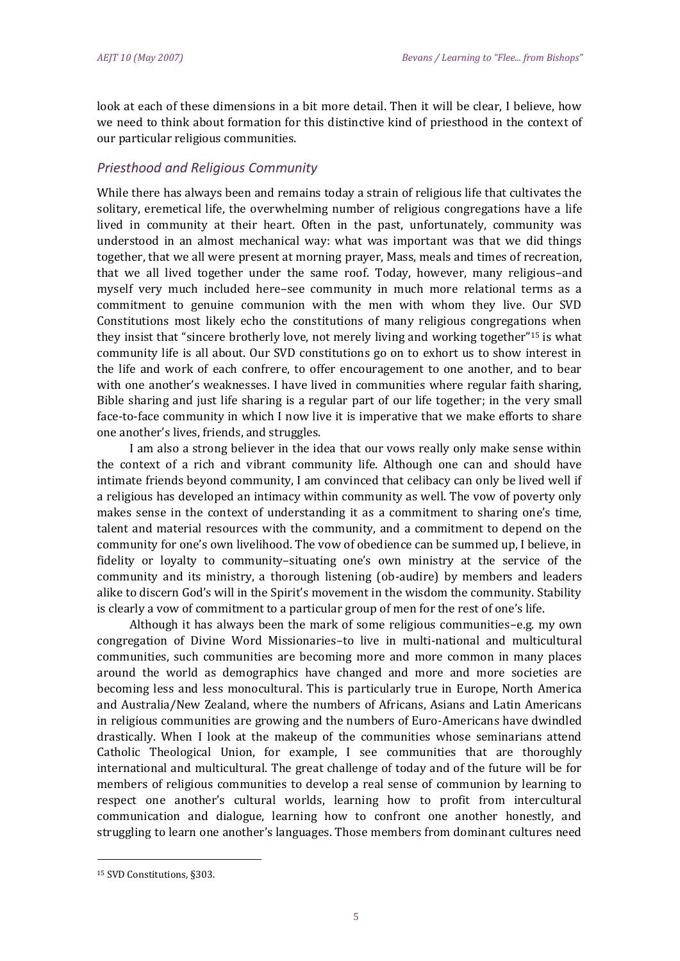look at each of these dimensions in a bit more detail. Then it will be clear, I believe, how we need to think about formation for this distinctive kind of priesthood in the context of our particular religious communities.

## *Priesthood and Religious Community*

While there has always been and remains today a strain of religious life that cultivates the solitary, eremetical life, the overwhelming number of religious congregations have a life lived in community at their heart. Often in the past, unfortunately, community was understood in an almost mechanical way: what was important was that we did things together, that we all were present at morning prayer, Mass, meals and times of recreation, that we all lived together under the same roof. Today, however, many religious–and myself very much included here–see community in much more relational terms as a commitment to genuine communion with the men with whom they live. Our SVD Constitutions most likely echo the constitutions of many religious congregations when they insist that "sincere brotherly love, not merely living and working together"<sup>15</sup> is what community life is all about. Our SVD constitutions go on to exhort us to show interest in the life and work of each confrere, to offer encouragement to one another, and to bear with one another's weaknesses. I have lived in communities where regular faith sharing, Bible sharing and just life sharing is a regular part of our life together; in the very small face-to-face community in which I now live it is imperative that we make efforts to share one another's lives, friends, and struggles.

I am also a strong believer in the idea that our vows really only make sense within the context of a rich and vibrant community life. Although one can and should have intimate friends beyond community, I am convinced that celibacy can only be lived well if a religious has developed an intimacy within community as well. The vow of poverty only makes sense in the context of understanding it as a commitment to sharing one's time, talent and material resources with the community, and a commitment to depend on the community for one's own livelihood. The vow of obedience can be summed up, I believe, in fidelity or loyalty to community–situating one's own ministry at the service of the community and its ministry, a thorough listening (ob-audire) by members and leaders alike to discern God's will in the Spirit's movement in the wisdom the community. Stability is clearly a vow of commitment to a particular group of men for the rest of one's life.

Although it has always been the mark of some religious communities–e.g. my own congregation of Divine Word Missionaries–to live in multi-national and multicultural communities, such communities are becoming more and more common in many places around the world as demographics have changed and more and more societies are becoming less and less monocultural. This is particularly true in Europe, North America and Australia/New Zealand, where the numbers of Africans, Asians and Latin Americans in religious communities are growing and the numbers of Euro-Americans have dwindled drastically. When I look at the makeup of the communities whose seminarians attend Catholic Theological Union, for example, I see communities that are thoroughly international and multicultural. The great challenge of today and of the future will be for members of religious communities to develop a real sense of communion by learning to respect one another's cultural worlds, learning how to profit from intercultural communication and dialogue, learning how to confront one another honestly, and struggling to learn one another's languages. Those members from dominant cultures need

<sup>15</sup> SVD Constitutions, §303.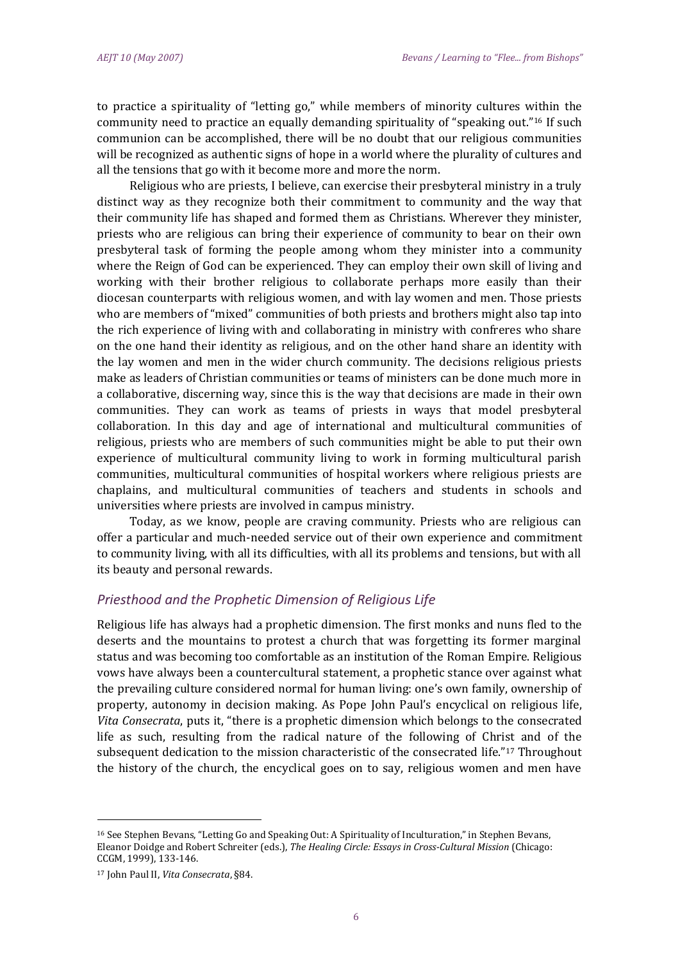to practice a spirituality of "letting go," while members of minority cultures within the community need to practice an equally demanding spirituality of "speaking out."<sup>16</sup> If such communion can be accomplished, there will be no doubt that our religious communities will be recognized as authentic signs of hope in a world where the plurality of cultures and all the tensions that go with it become more and more the norm.

Religious who are priests, I believe, can exercise their presbyteral ministry in a truly distinct way as they recognize both their commitment to community and the way that their community life has shaped and formed them as Christians. Wherever they minister, priests who are religious can bring their experience of community to bear on their own presbyteral task of forming the people among whom they minister into a community where the Reign of God can be experienced. They can employ their own skill of living and working with their brother religious to collaborate perhaps more easily than their diocesan counterparts with religious women, and with lay women and men. Those priests who are members of "mixed" communities of both priests and brothers might also tap into the rich experience of living with and collaborating in ministry with confreres who share on the one hand their identity as religious, and on the other hand share an identity with the lay women and men in the wider church community. The decisions religious priests make as leaders of Christian communities or teams of ministers can be done much more in a collaborative, discerning way, since this is the way that decisions are made in their own communities. They can work as teams of priests in ways that model presbyteral collaboration. In this day and age of international and multicultural communities of religious, priests who are members of such communities might be able to put their own experience of multicultural community living to work in forming multicultural parish communities, multicultural communities of hospital workers where religious priests are chaplains, and multicultural communities of teachers and students in schools and universities where priests are involved in campus ministry.

Today, as we know, people are craving community. Priests who are religious can offer a particular and much-needed service out of their own experience and commitment to community living, with all its difficulties, with all its problems and tensions, but with all its beauty and personal rewards.

#### *Priesthood and the Prophetic Dimension of Religious Life*

Religious life has always had a prophetic dimension. The first monks and nuns fled to the deserts and the mountains to protest a church that was forgetting its former marginal status and was becoming too comfortable as an institution of the Roman Empire. Religious vows have always been a countercultural statement, a prophetic stance over against what the prevailing culture considered normal for human living: one's own family, ownership of property, autonomy in decision making. As Pope John Paul's encyclical on religious life, *Vita Consecrata*, puts it, "there is a prophetic dimension which belongs to the consecrated life as such, resulting from the radical nature of the following of Christ and of the subsequent dedication to the mission characteristic of the consecrated life."<sup>17</sup> Throughout the history of the church, the encyclical goes on to say, religious women and men have

 $\overline{a}$ 

<sup>16</sup> See Stephen Bevans, "Letting Go and Speaking Out: A Spirituality of Inculturation," in Stephen Bevans, Eleanor Doidge and Robert Schreiter (eds.), *The Healing Circle: Essays in Cross-Cultural Mission* (Chicago: CCGM, 1999), 133-146.

<sup>17</sup> John Paul II, *Vita Consecrata*, §84.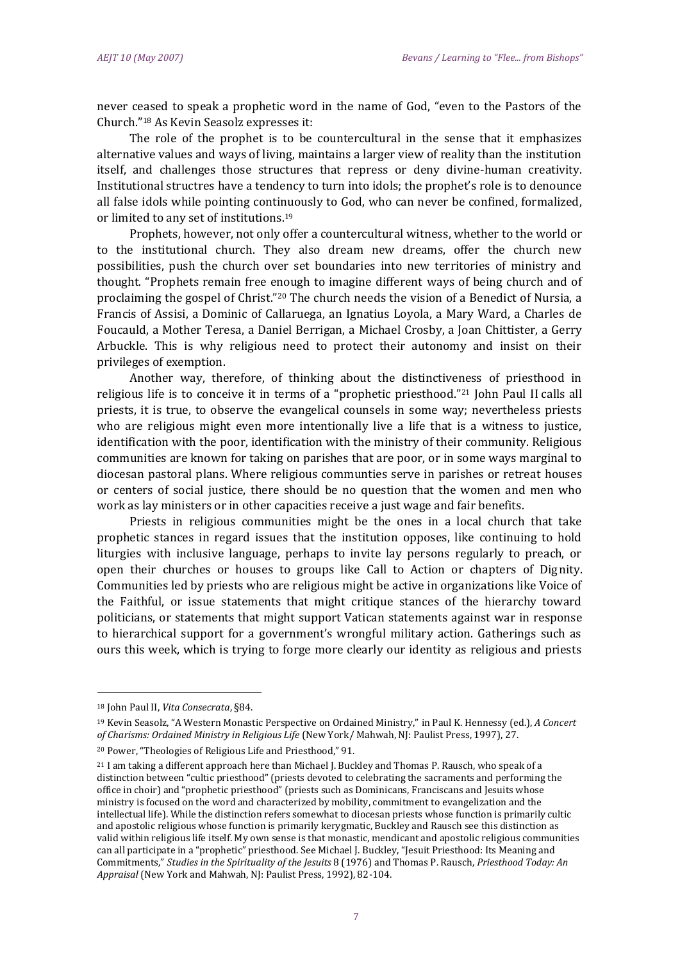never ceased to speak a prophetic word in the name of God, "even to the Pastors of the Church."<sup>18</sup> As Kevin Seasolz expresses it:

The role of the prophet is to be countercultural in the sense that it emphasizes alternative values and ways of living, maintains a larger view of reality than the institution itself, and challenges those structures that repress or deny divine-human creativity. Institutional structres have a tendency to turn into idols; the prophet's role is to denounce all false idols while pointing continuously to God, who can never be confined, formalized, or limited to any set of institutions.<sup>19</sup>

Prophets, however, not only offer a countercultural witness, whether to the world or to the institutional church. They also dream new dreams, offer the church new possibilities, push the church over set boundaries into new territories of ministry and thought. "Prophets remain free enough to imagine different ways of being church and of proclaiming the gospel of Christ."<sup>20</sup> The church needs the vision of a Benedict of Nursia, a Francis of Assisi, a Dominic of Callaruega, an Ignatius Loyola, a Mary Ward, a Charles de Foucauld, a Mother Teresa, a Daniel Berrigan, a Michael Crosby, a Joan Chittister, a Gerry Arbuckle. This is why religious need to protect their autonomy and insist on their privileges of exemption.

Another way, therefore, of thinking about the distinctiveness of priesthood in religious life is to conceive it in terms of a "prophetic priesthood."<sup>21</sup> John Paul II calls all priests, it is true, to observe the evangelical counsels in some way; nevertheless priests who are religious might even more intentionally live a life that is a witness to justice, identification with the poor, identification with the ministry of their community. Religious communities are known for taking on parishes that are poor, or in some ways marginal to diocesan pastoral plans. Where religious communties serve in parishes or retreat houses or centers of social justice, there should be no question that the women and men who work as lay ministers or in other capacities receive a just wage and fair benefits.

Priests in religious communities might be the ones in a local church that take prophetic stances in regard issues that the institution opposes, like continuing to hold liturgies with inclusive language, perhaps to invite lay persons regularly to preach, or open their churches or houses to groups like Call to Action or chapters of Dignity. Communities led by priests who are religious might be active in organizations like Voice of the Faithful, or issue statements that might critique stances of the hierarchy toward politicians, or statements that might support Vatican statements against war in response to hierarchical support for a government's wrongful military action. Gatherings such as ours this week, which is trying to forge more clearly our identity as religious and priests

<sup>18</sup> John Paul II, *Vita Consecrata*, §84.

<sup>19</sup> Kevin Seasolz, "A Western Monastic Perspective on Ordained Ministry," in Paul K. Hennessy (ed.), *A Concert of Charisms: Ordained Ministry in Religious Life* (New York/ Mahwah, NJ: Paulist Press, 1997), 27.

<sup>20</sup> Power, "Theologies of Religious Life and Priesthood," 91.

<sup>21</sup> I am taking a different approach here than Michael J. Buckley and Thomas P. Rausch, who speak of a distinction between "cultic priesthood" (priests devoted to celebrating the sacraments and performing the office in choir) and "prophetic priesthood" (priests such as Dominicans, Franciscans and Jesuits whose ministry is focused on the word and characterized by mobility, commitment to evangelization and the intellectual life). While the distinction refers somewhat to diocesan priests whose function is primarily cultic and apostolic religious whose function is primarily kerygmatic, Buckley and Rausch see this distinction as valid within religious life itself. My own sense is that monastic, mendicant and apostolic religious communities can all participate in a "prophetic" priesthood. See Michael J. Buckley, "Jesuit Priesthood: Its Meaning and Commitments," *Studies in the Spirituality of the Jesuits* 8 (1976) and Thomas P. Rausch, *Priesthood Today: An Appraisal* (New York and Mahwah, NJ: Paulist Press, 1992), 82-104.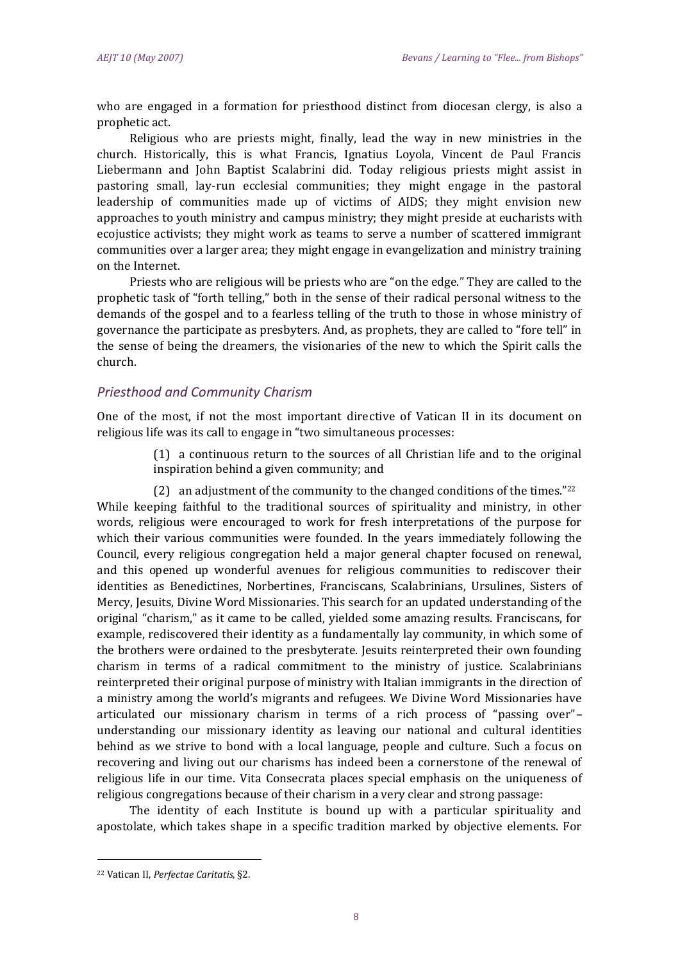who are engaged in a formation for priesthood distinct from diocesan clergy, is also a prophetic act.

Religious who are priests might, finally, lead the way in new ministries in the church. Historically, this is what Francis, Ignatius Loyola, Vincent de Paul Francis Liebermann and John Baptist Scalabrini did. Today religious priests might assist in pastoring small, lay-run ecclesial communities; they might engage in the pastoral leadership of communities made up of victims of AIDS; they might envision new approaches to youth ministry and campus ministry; they might preside at eucharists with ecojustice activists; they might work as teams to serve a number of scattered immigrant communities over a larger area; they might engage in evangelization and ministry training on the Internet.

Priests who are religious will be priests who are "on the edge." They are called to the prophetic task of "forth telling," both in the sense of their radical personal witness to the demands of the gospel and to a fearless telling of the truth to those in whose ministry of governance the participate as presbyters. And, as prophets, they are called to "fore tell" in the sense of being the dreamers, the visionaries of the new to which the Spirit calls the church.

#### *Priesthood and Community Charism*

One of the most, if not the most important directive of Vatican II in its document on religious life was its call to engage in "two simultaneous processes:

> (1) a continuous return to the sources of all Christian life and to the original inspiration behind a given community; and

(2) an adjustment of the community to the changed conditions of the times." $22$ While keeping faithful to the traditional sources of spirituality and ministry, in other words, religious were encouraged to work for fresh interpretations of the purpose for which their various communities were founded. In the years immediately following the Council, every religious congregation held a major general chapter focused on renewal, and this opened up wonderful avenues for religious communities to rediscover their identities as Benedictines, Norbertines, Franciscans, Scalabrinians, Ursulines, Sisters of Mercy, Jesuits, Divine Word Missionaries. This search for an updated understanding of the original "charism," as it came to be called, yielded some amazing results. Franciscans, for example, rediscovered their identity as a fundamentally lay community, in which some of the brothers were ordained to the presbyterate. Jesuits reinterpreted their own founding charism in terms of a radical commitment to the ministry of justice. Scalabrinians reinterpreted their original purpose of ministry with Italian immigrants in the direction of a ministry among the world's migrants and refugees. We Divine Word Missionaries have articulated our missionary charism in terms of a rich process of "passing over"– understanding our missionary identity as leaving our national and cultural identities behind as we strive to bond with a local language, people and culture. Such a focus on recovering and living out our charisms has indeed been a cornerstone of the renewal of religious life in our time. Vita Consecrata places special emphasis on the uniqueness of religious congregations because of their charism in a very clear and strong passage:

The identity of each Institute is bound up with a particular spirituality and apostolate, which takes shape in a specific tradition marked by objective elements. For

<sup>22</sup> Vatican II, *Perfectae Caritatis*, §2.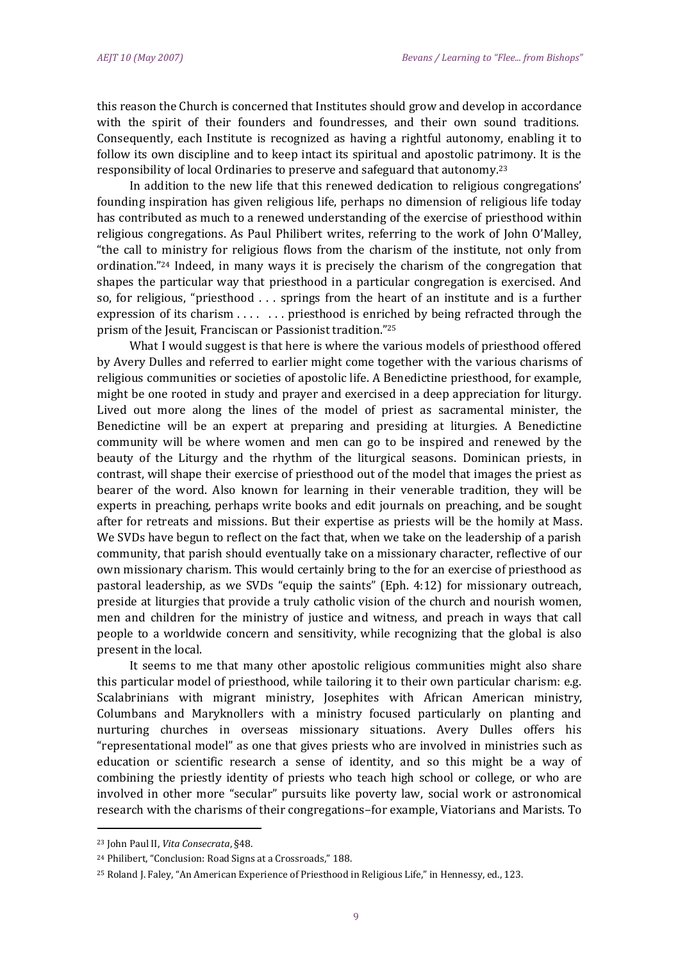this reason the Church is concerned that Institutes should grow and develop in accordance with the spirit of their founders and foundresses, and their own sound traditions. Consequently, each Institute is recognized as having a rightful autonomy, enabling it to follow its own discipline and to keep intact its spiritual and apostolic patrimony. It is the responsibility of local Ordinaries to preserve and safeguard that autonomy.<sup>23</sup>

In addition to the new life that this renewed dedication to religious congregations' founding inspiration has given religious life, perhaps no dimension of religious life today has contributed as much to a renewed understanding of the exercise of priesthood within religious congregations. As Paul Philibert writes, referring to the work of John O'Malley, "the call to ministry for religious flows from the charism of the institute, not only from ordination."<sup>24</sup> Indeed, in many ways it is precisely the charism of the congregation that shapes the particular way that priesthood in a particular congregation is exercised. And so, for religious, "priesthood . . . springs from the heart of an institute and is a further expression of its charism . . . . . . . priesthood is enriched by being refracted through the prism of the Jesuit, Franciscan or Passionist tradition."<sup>25</sup>

What I would suggest is that here is where the various models of priesthood offered by Avery Dulles and referred to earlier might come together with the various charisms of religious communities or societies of apostolic life. A Benedictine priesthood, for example, might be one rooted in study and prayer and exercised in a deep appreciation for liturgy. Lived out more along the lines of the model of priest as sacramental minister, the Benedictine will be an expert at preparing and presiding at liturgies. A Benedictine community will be where women and men can go to be inspired and renewed by the beauty of the Liturgy and the rhythm of the liturgical seasons. Dominican priests, in contrast, will shape their exercise of priesthood out of the model that images the priest as bearer of the word. Also known for learning in their venerable tradition, they will be experts in preaching, perhaps write books and edit journals on preaching, and be sought after for retreats and missions. But their expertise as priests will be the homily at Mass. We SVDs have begun to reflect on the fact that, when we take on the leadership of a parish community, that parish should eventually take on a missionary character, reflective of our own missionary charism. This would certainly bring to the for an exercise of priesthood as pastoral leadership, as we SVDs "equip the saints" (Eph. 4:12) for missionary outreach, preside at liturgies that provide a truly catholic vision of the church and nourish women, men and children for the ministry of justice and witness, and preach in ways that call people to a worldwide concern and sensitivity, while recognizing that the global is also present in the local.

It seems to me that many other apostolic religious communities might also share this particular model of priesthood, while tailoring it to their own particular charism: e.g. Scalabrinians with migrant ministry, Josephites with African American ministry, Columbans and Maryknollers with a ministry focused particularly on planting and nurturing churches in overseas missionary situations. Avery Dulles offers his "representational model" as one that gives priests who are involved in ministries such as education or scientific research a sense of identity, and so this might be a way of combining the priestly identity of priests who teach high school or college, or who are involved in other more "secular" pursuits like poverty law, social work or astronomical research with the charisms of their congregations–for example, Viatorians and Marists. To

<sup>23</sup> John Paul II, *Vita Consecrata*, §48.

<sup>24</sup> Philibert, "Conclusion: Road Signs at a Crossroads," 188.

<sup>25</sup> Roland J. Faley, "An American Experience of Priesthood in Religious Life," in Hennessy, ed., 123.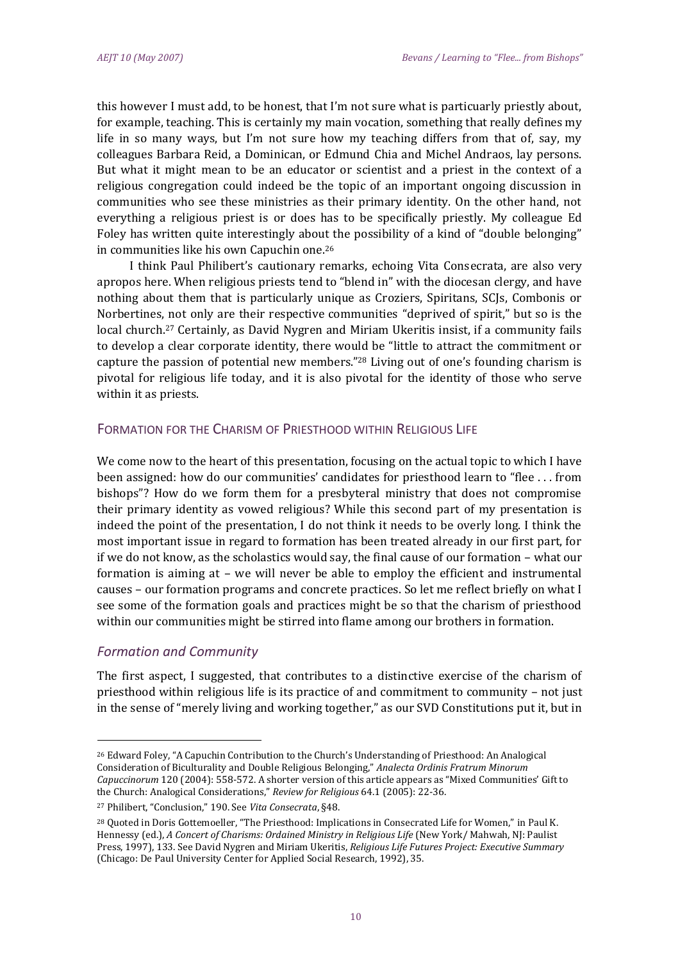this however I must add, to be honest, that I'm not sure what is particuarly priestly about, for example, teaching. This is certainly my main vocation, something that really defines my life in so many ways, but I'm not sure how my teaching differs from that of, say, my colleagues Barbara Reid, a Dominican, or Edmund Chia and Michel Andraos, lay persons. But what it might mean to be an educator or scientist and a priest in the context of a religious congregation could indeed be the topic of an important ongoing discussion in communities who see these ministries as their primary identity. On the other hand, not everything a religious priest is or does has to be specifically priestly. My colleague Ed Foley has written quite interestingly about the possibility of a kind of "double belonging" in communities like his own Capuchin one.<sup>26</sup>

I think Paul Philibert's cautionary remarks, echoing Vita Consecrata, are also very apropos here. When religious priests tend to "blend in" with the diocesan clergy, and have nothing about them that is particularly unique as Croziers, Spiritans, SCJs, Combonis or Norbertines, not only are their respective communities "deprived of spirit," but so is the local church.<sup>27</sup> Certainly, as David Nygren and Miriam Ukeritis insist, if a community fails to develop a clear corporate identity, there would be "little to attract the commitment or capture the passion of potential new members."<sup>28</sup> Living out of one's founding charism is pivotal for religious life today, and it is also pivotal for the identity of those who serve within it as priests.

## FORMATION FOR THE CHARISM OF PRIESTHOOD WITHIN RELIGIOUS LIFE

We come now to the heart of this presentation, focusing on the actual topic to which I have been assigned: how do our communities' candidates for priesthood learn to "flee . . . from bishops"? How do we form them for a presbyteral ministry that does not compromise their primary identity as vowed religious? While this second part of my presentation is indeed the point of the presentation, I do not think it needs to be overly long. I think the most important issue in regard to formation has been treated already in our first part, for if we do not know, as the scholastics would say, the final cause of our formation – what our formation is aiming at – we will never be able to employ the efficient and instrumental causes – our formation programs and concrete practices. So let me reflect briefly on what I see some of the formation goals and practices might be so that the charism of priesthood within our communities might be stirred into flame among our brothers in formation.

## *Formation and Community*

 $\overline{a}$ 

The first aspect, I suggested, that contributes to a distinctive exercise of the charism of priesthood within religious life is its practice of and commitment to community – not just in the sense of "merely living and working together," as our SVD Constitutions put it, but in

<sup>26</sup> Edward Foley, "A Capuchin Contribution to the Church's Understanding of Priesthood: An Analogical Consideration of Biculturality and Double Religious Belonging," *Analecta Ordinis Fratrum Minorum Capuccinorum* 120 (2004): 558-572. A shorter version of this article appears as "Mixed Communities' Gift to the Church: Analogical Considerations," *Review for Religious* 64.1 (2005): 22-36.

<sup>27</sup> Philibert, "Conclusion," 190. See *Vita Consecrata*, §48.

<sup>28</sup> Quoted in Doris Gottemoeller, "The Priesthood: Implications in Consecrated Life for Women," in Paul K. Hennessy (ed.), *A Concert of Charisms: Ordained Ministry in Religious Life* (New York/ Mahwah, NJ: Paulist Press, 1997), 133. See David Nygren and Miriam Ukeritis, *Religious Life Futures Project: Executive Summary* (Chicago: De Paul University Center for Applied Social Research, 1992), 35.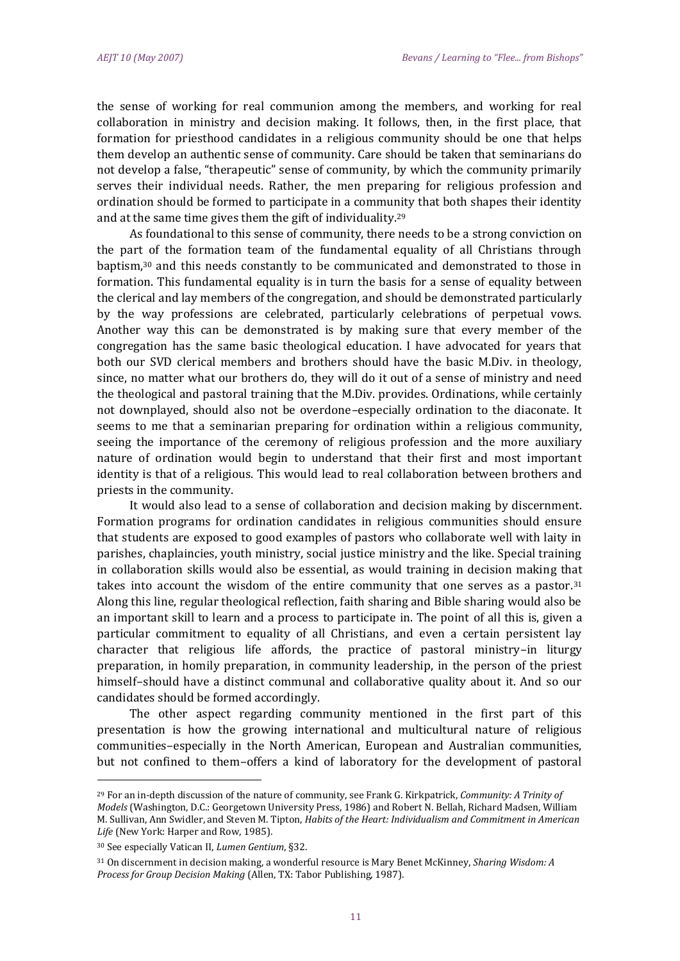the sense of working for real communion among the members, and working for real collaboration in ministry and decision making. It follows, then, in the first place, that formation for priesthood candidates in a religious community should be one that helps them develop an authentic sense of community. Care should be taken that seminarians do not develop a false, "therapeutic" sense of community, by which the community primarily serves their individual needs. Rather, the men preparing for religious profession and ordination should be formed to participate in a community that both shapes their identity and at the same time gives them the gift of individuality.<sup>29</sup>

As foundational to this sense of community, there needs to be a strong conviction on the part of the formation team of the fundamental equality of all Christians through baptism, $30$  and this needs constantly to be communicated and demonstrated to those in formation. This fundamental equality is in turn the basis for a sense of equality between the clerical and lay members of the congregation, and should be demonstrated particularly by the way professions are celebrated, particularly celebrations of perpetual vows. Another way this can be demonstrated is by making sure that every member of the congregation has the same basic theological education. I have advocated for years that both our SVD clerical members and brothers should have the basic M.Div. in theology, since, no matter what our brothers do, they will do it out of a sense of ministry and need the theological and pastoral training that the M.Div. provides. Ordinations, while certainly not downplayed, should also not be overdone–especially ordination to the diaconate. It seems to me that a seminarian preparing for ordination within a religious community, seeing the importance of the ceremony of religious profession and the more auxiliary nature of ordination would begin to understand that their first and most important identity is that of a religious. This would lead to real collaboration between brothers and priests in the community.

It would also lead to a sense of collaboration and decision making by discernment. Formation programs for ordination candidates in religious communities should ensure that students are exposed to good examples of pastors who collaborate well with laity in parishes, chaplaincies, youth ministry, social justice ministry and the like. Special training in collaboration skills would also be essential, as would training in decision making that takes into account the wisdom of the entire community that one serves as a pastor.<sup>31</sup> Along this line, regular theological reflection, faith sharing and Bible sharing would also be an important skill to learn and a process to participate in. The point of all this is, given a particular commitment to equality of all Christians, and even a certain persistent lay character that religious life affords, the practice of pastoral ministry–in liturgy preparation, in homily preparation, in community leadership, in the person of the priest himself–should have a distinct communal and collaborative quality about it. And so our candidates should be formed accordingly.

The other aspect regarding community mentioned in the first part of this presentation is how the growing international and multicultural nature of religious communities–especially in the North American, European and Australian communities, but not confined to them–offers a kind of laboratory for the development of pastoral

 $\overline{a}$ 

<sup>29</sup> For an in-depth discussion of the nature of community, see Frank G. Kirkpatrick, *Community: A Trinity of Models* (Washington, D.C.: Georgetown University Press, 1986) and Robert N. Bellah, Richard Madsen, William M. Sullivan, Ann Swidler, and Steven M. Tipton, *Habits of the Heart: Individualism and Commitment in American Life* (New York: Harper and Row, 1985).

<sup>30</sup> See especially Vatican II, *Lumen Gentium*, §32.

<sup>31</sup> On discernment in decision making, a wonderful resource is Mary Benet McKinney, *Sharing Wisdom: A Process for Group Decision Making* (Allen, TX: Tabor Publishing, 1987).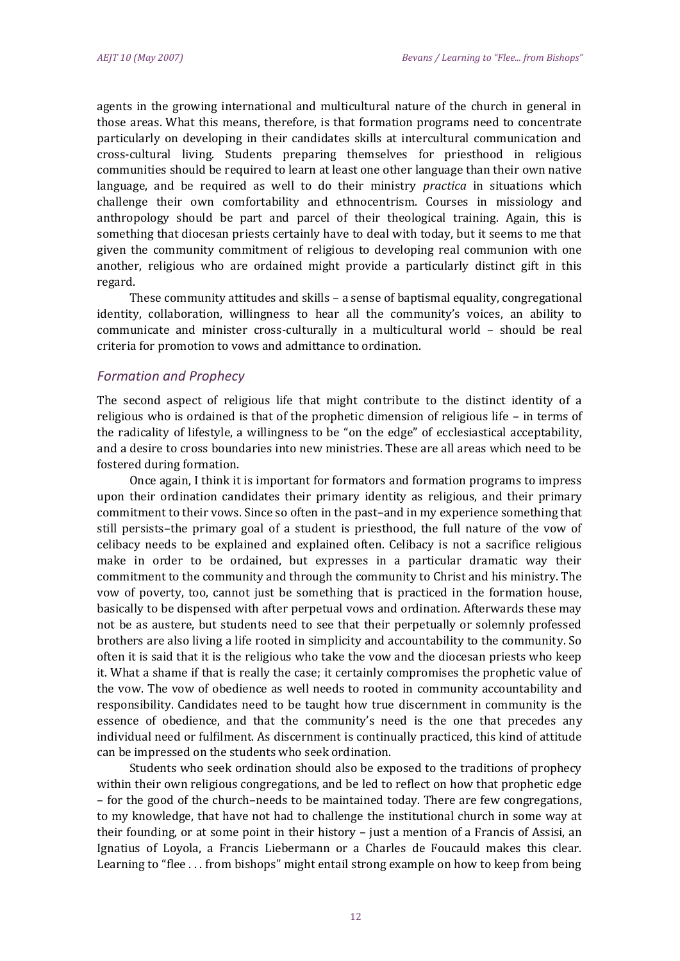agents in the growing international and multicultural nature of the church in general in those areas. What this means, therefore, is that formation programs need to concentrate particularly on developing in their candidates skills at intercultural communication and cross-cultural living. Students preparing themselves for priesthood in religious communities should be required to learn at least one other language than their own native language, and be required as well to do their ministry *practica* in situations which challenge their own comfortability and ethnocentrism. Courses in missiology and anthropology should be part and parcel of their theological training. Again, this is something that diocesan priests certainly have to deal with today, but it seems to me that given the community commitment of religious to developing real communion with one another, religious who are ordained might provide a particularly distinct gift in this regard.

These community attitudes and skills – a sense of baptismal equality, congregational identity, collaboration, willingness to hear all the community's voices, an ability to communicate and minister cross-culturally in a multicultural world – should be real criteria for promotion to vows and admittance to ordination.

#### *Formation and Prophecy*

The second aspect of religious life that might contribute to the distinct identity of a religious who is ordained is that of the prophetic dimension of religious life – in terms of the radicality of lifestyle, a willingness to be "on the edge" of ecclesiastical acceptability, and a desire to cross boundaries into new ministries. These are all areas which need to be fostered during formation.

Once again, I think it is important for formators and formation programs to impress upon their ordination candidates their primary identity as religious, and their primary commitment to their vows. Since so often in the past–and in my experience something that still persists–the primary goal of a student is priesthood, the full nature of the vow of celibacy needs to be explained and explained often. Celibacy is not a sacrifice religious make in order to be ordained, but expresses in a particular dramatic way their commitment to the community and through the community to Christ and his ministry. The vow of poverty, too, cannot just be something that is practiced in the formation house, basically to be dispensed with after perpetual vows and ordination. Afterwards these may not be as austere, but students need to see that their perpetually or solemnly professed brothers are also living a life rooted in simplicity and accountability to the community. So often it is said that it is the religious who take the vow and the diocesan priests who keep it. What a shame if that is really the case; it certainly compromises the prophetic value of the vow. The vow of obedience as well needs to rooted in community accountability and responsibility. Candidates need to be taught how true discernment in community is the essence of obedience, and that the community's need is the one that precedes any individual need or fulfilment. As discernment is continually practiced, this kind of attitude can be impressed on the students who seek ordination.

Students who seek ordination should also be exposed to the traditions of prophecy within their own religious congregations, and be led to reflect on how that prophetic edge – for the good of the church–needs to be maintained today. There are few congregations, to my knowledge, that have not had to challenge the institutional church in some way at their founding, or at some point in their history – just a mention of a Francis of Assisi, an Ignatius of Loyola, a Francis Liebermann or a Charles de Foucauld makes this clear. Learning to "flee . . . from bishops" might entail strong example on how to keep from being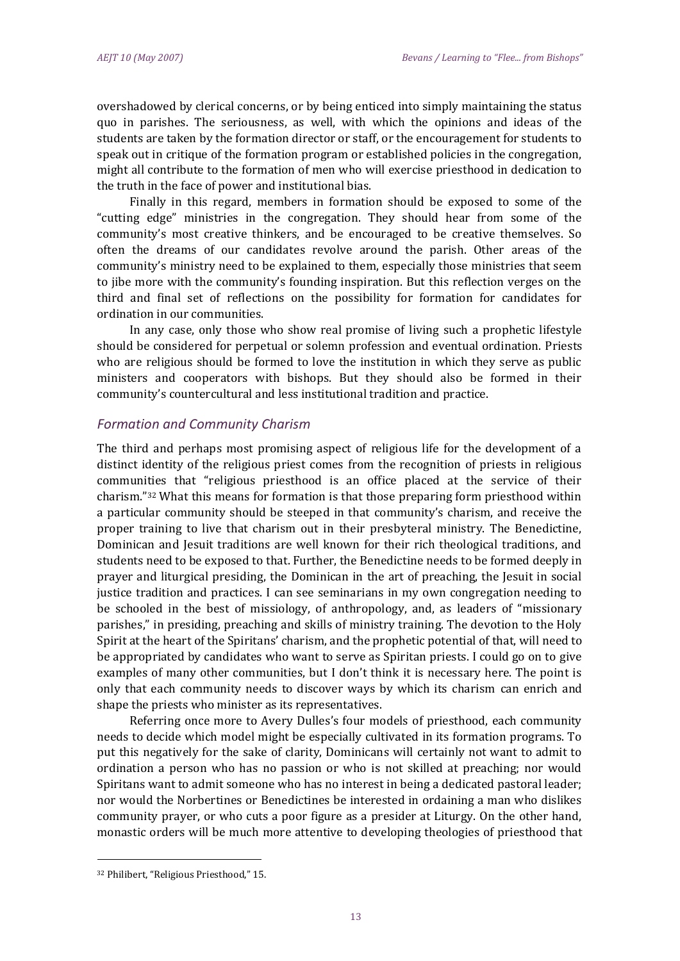overshadowed by clerical concerns, or by being enticed into simply maintaining the status quo in parishes. The seriousness, as well, with which the opinions and ideas of the students are taken by the formation director or staff, or the encouragement for students to speak out in critique of the formation program or established policies in the congregation, might all contribute to the formation of men who will exercise priesthood in dedication to the truth in the face of power and institutional bias.

Finally in this regard, members in formation should be exposed to some of the "cutting edge" ministries in the congregation. They should hear from some of the community's most creative thinkers, and be encouraged to be creative themselves. So often the dreams of our candidates revolve around the parish. Other areas of the community's ministry need to be explained to them, especially those ministries that seem to jibe more with the community's founding inspiration. But this reflection verges on the third and final set of reflections on the possibility for formation for candidates for ordination in our communities.

In any case, only those who show real promise of living such a prophetic lifestyle should be considered for perpetual or solemn profession and eventual ordination. Priests who are religious should be formed to love the institution in which they serve as public ministers and cooperators with bishops. But they should also be formed in their community's countercultural and less institutional tradition and practice.

## *Formation and Community Charism*

The third and perhaps most promising aspect of religious life for the development of a distinct identity of the religious priest comes from the recognition of priests in religious communities that "religious priesthood is an office placed at the service of their charism."<sup>32</sup> What this means for formation is that those preparing form priesthood within a particular community should be steeped in that community's charism, and receive the proper training to live that charism out in their presbyteral ministry. The Benedictine, Dominican and Jesuit traditions are well known for their rich theological traditions, and students need to be exposed to that. Further, the Benedictine needs to be formed deeply in prayer and liturgical presiding, the Dominican in the art of preaching, the Jesuit in social justice tradition and practices. I can see seminarians in my own congregation needing to be schooled in the best of missiology, of anthropology, and, as leaders of "missionary parishes," in presiding, preaching and skills of ministry training. The devotion to the Holy Spirit at the heart of the Spiritans' charism, and the prophetic potential of that, will need to be appropriated by candidates who want to serve as Spiritan priests. I could go on to give examples of many other communities, but I don't think it is necessary here. The point is only that each community needs to discover ways by which its charism can enrich and shape the priests who minister as its representatives.

Referring once more to Avery Dulles's four models of priesthood, each community needs to decide which model might be especially cultivated in its formation programs. To put this negatively for the sake of clarity, Dominicans will certainly not want to admit to ordination a person who has no passion or who is not skilled at preaching; nor would Spiritans want to admit someone who has no interest in being a dedicated pastoral leader; nor would the Norbertines or Benedictines be interested in ordaining a man who dislikes community prayer, or who cuts a poor figure as a presider at Liturgy. On the other hand, monastic orders will be much more attentive to developing theologies of priesthood that

<sup>32</sup> Philibert, "Religious Priesthood," 15.